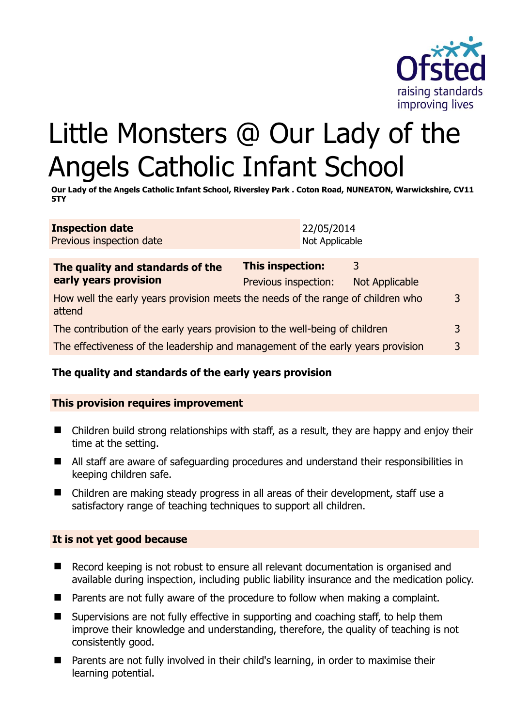

# Little Monsters @ Our Lady of the Angels Catholic Infant School

**Our Lady of the Angels Catholic Infant School, Riversley Park . Coton Road, NUNEATON, Warwickshire, CV11 5TY** 

**Inspection date** Previous inspection date 22/05/2014 Not Applicable

| The quality and standards of the                                                          | <b>This inspection:</b> | 3              |                |
|-------------------------------------------------------------------------------------------|-------------------------|----------------|----------------|
| early years provision                                                                     | Previous inspection:    | Not Applicable |                |
| How well the early years provision meets the needs of the range of children who<br>attend |                         |                | 3              |
| The contribution of the early years provision to the well-being of children               |                         |                | $\overline{3}$ |
| The effectiveness of the leadership and management of the early years provision           |                         |                | 3              |

# **The quality and standards of the early years provision**

### **This provision requires improvement**

- Children build strong relationships with staff, as a result, they are happy and enjoy their time at the setting.
- All staff are aware of safeguarding procedures and understand their responsibilities in keeping children safe.
- Children are making steady progress in all areas of their development, staff use a satisfactory range of teaching techniques to support all children.

### **It is not yet good because**

- Record keeping is not robust to ensure all relevant documentation is organised and available during inspection, including public liability insurance and the medication policy.
- $\blacksquare$  Parents are not fully aware of the procedure to follow when making a complaint.
- Supervisions are not fully effective in supporting and coaching staff, to help them improve their knowledge and understanding, therefore, the quality of teaching is not consistently good.
- Parents are not fully involved in their child's learning, in order to maximise their learning potential.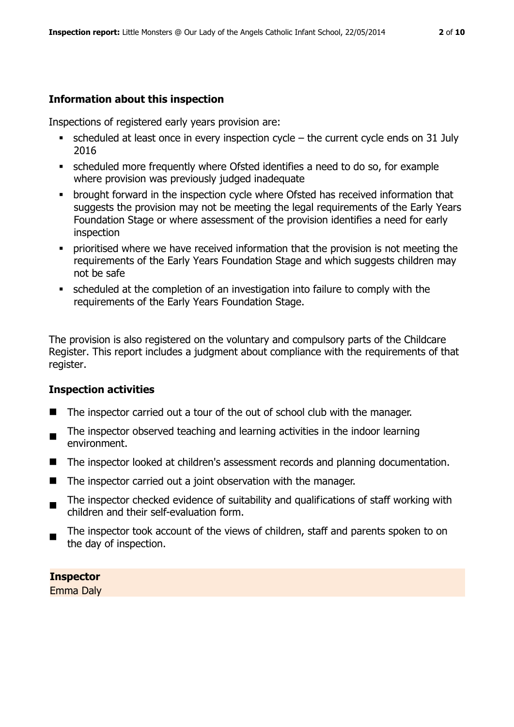#### **Information about this inspection**

Inspections of registered early years provision are:

- $\bullet$  scheduled at least once in every inspection cycle the current cycle ends on 31 July 2016
- scheduled more frequently where Ofsted identifies a need to do so, for example where provision was previously judged inadequate
- **•** brought forward in the inspection cycle where Ofsted has received information that suggests the provision may not be meeting the legal requirements of the Early Years Foundation Stage or where assessment of the provision identifies a need for early inspection
- **•** prioritised where we have received information that the provision is not meeting the requirements of the Early Years Foundation Stage and which suggests children may not be safe
- scheduled at the completion of an investigation into failure to comply with the requirements of the Early Years Foundation Stage.

The provision is also registered on the voluntary and compulsory parts of the Childcare Register. This report includes a judgment about compliance with the requirements of that register.

# **Inspection activities**

- The inspector carried out a tour of the out of school club with the manager.
- The inspector observed teaching and learning activities in the indoor learning environment.
- The inspector looked at children's assessment records and planning documentation.
- The inspector carried out a joint observation with the manager.
- $\blacksquare$ The inspector checked evidence of suitability and qualifications of staff working with children and their self-evaluation form.
- The inspector took account of the views of children, staff and parents spoken to on the day of inspection.

# **Inspector**

Emma Daly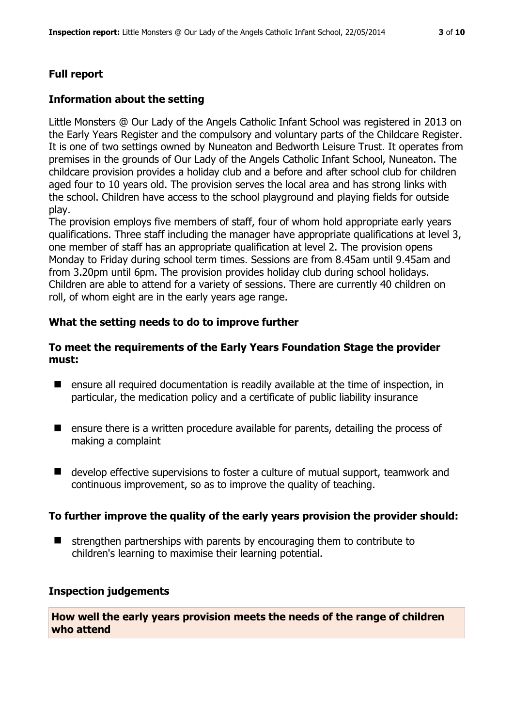## **Information about the setting**

Little Monsters @ Our Lady of the Angels Catholic Infant School was registered in 2013 on the Early Years Register and the compulsory and voluntary parts of the Childcare Register. It is one of two settings owned by Nuneaton and Bedworth Leisure Trust. It operates from premises in the grounds of Our Lady of the Angels Catholic Infant School, Nuneaton. The childcare provision provides a holiday club and a before and after school club for children aged four to 10 years old. The provision serves the local area and has strong links with the school. Children have access to the school playground and playing fields for outside play.

The provision employs five members of staff, four of whom hold appropriate early years qualifications. Three staff including the manager have appropriate qualifications at level 3, one member of staff has an appropriate qualification at level 2. The provision opens Monday to Friday during school term times. Sessions are from 8.45am until 9.45am and from 3.20pm until 6pm. The provision provides holiday club during school holidays. Children are able to attend for a variety of sessions. There are currently 40 children on roll, of whom eight are in the early years age range.

# **What the setting needs to do to improve further**

### **To meet the requirements of the Early Years Foundation Stage the provider must:**

- ensure all required documentation is readily available at the time of inspection, in particular, the medication policy and a certificate of public liability insurance
- **E** ensure there is a written procedure available for parents, detailing the process of making a complaint
- develop effective supervisions to foster a culture of mutual support, teamwork and continuous improvement, so as to improve the quality of teaching.

### **To further improve the quality of the early years provision the provider should:**

 $\blacksquare$  strengthen partnerships with parents by encouraging them to contribute to children's learning to maximise their learning potential.

### **Inspection judgements**

**How well the early years provision meets the needs of the range of children who attend**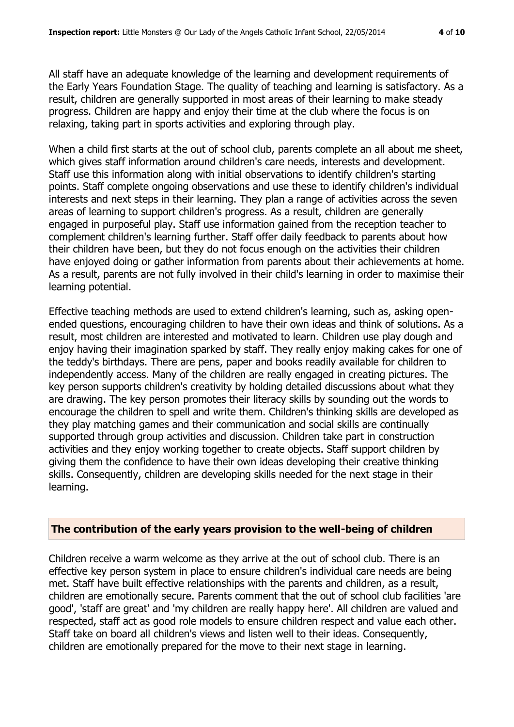All staff have an adequate knowledge of the learning and development requirements of the Early Years Foundation Stage. The quality of teaching and learning is satisfactory. As a result, children are generally supported in most areas of their learning to make steady progress. Children are happy and enjoy their time at the club where the focus is on relaxing, taking part in sports activities and exploring through play.

When a child first starts at the out of school club, parents complete an all about me sheet, which gives staff information around children's care needs, interests and development. Staff use this information along with initial observations to identify children's starting points. Staff complete ongoing observations and use these to identify children's individual interests and next steps in their learning. They plan a range of activities across the seven areas of learning to support children's progress. As a result, children are generally engaged in purposeful play. Staff use information gained from the reception teacher to complement children's learning further. Staff offer daily feedback to parents about how their children have been, but they do not focus enough on the activities their children have enjoyed doing or gather information from parents about their achievements at home. As a result, parents are not fully involved in their child's learning in order to maximise their learning potential.

Effective teaching methods are used to extend children's learning, such as, asking openended questions, encouraging children to have their own ideas and think of solutions. As a result, most children are interested and motivated to learn. Children use play dough and enjoy having their imagination sparked by staff. They really enjoy making cakes for one of the teddy's birthdays. There are pens, paper and books readily available for children to independently access. Many of the children are really engaged in creating pictures. The key person supports children's creativity by holding detailed discussions about what they are drawing. The key person promotes their literacy skills by sounding out the words to encourage the children to spell and write them. Children's thinking skills are developed as they play matching games and their communication and social skills are continually supported through group activities and discussion. Children take part in construction activities and they enjoy working together to create objects. Staff support children by giving them the confidence to have their own ideas developing their creative thinking skills. Consequently, children are developing skills needed for the next stage in their learning.

#### **The contribution of the early years provision to the well-being of children**

Children receive a warm welcome as they arrive at the out of school club. There is an effective key person system in place to ensure children's individual care needs are being met. Staff have built effective relationships with the parents and children, as a result, children are emotionally secure. Parents comment that the out of school club facilities 'are good', 'staff are great' and 'my children are really happy here'. All children are valued and respected, staff act as good role models to ensure children respect and value each other. Staff take on board all children's views and listen well to their ideas. Consequently, children are emotionally prepared for the move to their next stage in learning.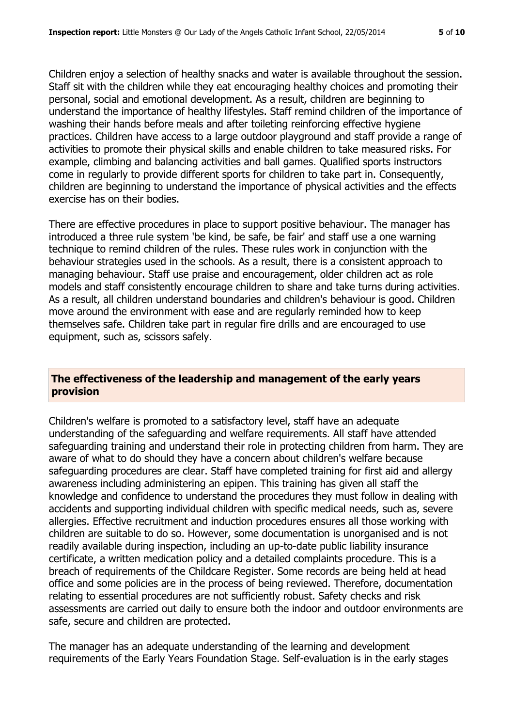Children enjoy a selection of healthy snacks and water is available throughout the session. Staff sit with the children while they eat encouraging healthy choices and promoting their personal, social and emotional development. As a result, children are beginning to understand the importance of healthy lifestyles. Staff remind children of the importance of washing their hands before meals and after toileting reinforcing effective hygiene practices. Children have access to a large outdoor playground and staff provide a range of activities to promote their physical skills and enable children to take measured risks. For example, climbing and balancing activities and ball games. Qualified sports instructors come in regularly to provide different sports for children to take part in. Consequently, children are beginning to understand the importance of physical activities and the effects exercise has on their bodies.

There are effective procedures in place to support positive behaviour. The manager has introduced a three rule system 'be kind, be safe, be fair' and staff use a one warning technique to remind children of the rules. These rules work in conjunction with the behaviour strategies used in the schools. As a result, there is a consistent approach to managing behaviour. Staff use praise and encouragement, older children act as role models and staff consistently encourage children to share and take turns during activities. As a result, all children understand boundaries and children's behaviour is good. Children move around the environment with ease and are regularly reminded how to keep themselves safe. Children take part in regular fire drills and are encouraged to use equipment, such as, scissors safely.

#### **The effectiveness of the leadership and management of the early years provision**

Children's welfare is promoted to a satisfactory level, staff have an adequate understanding of the safeguarding and welfare requirements. All staff have attended safeguarding training and understand their role in protecting children from harm. They are aware of what to do should they have a concern about children's welfare because safeguarding procedures are clear. Staff have completed training for first aid and allergy awareness including administering an epipen. This training has given all staff the knowledge and confidence to understand the procedures they must follow in dealing with accidents and supporting individual children with specific medical needs, such as, severe allergies. Effective recruitment and induction procedures ensures all those working with children are suitable to do so. However, some documentation is unorganised and is not readily available during inspection, including an up-to-date public liability insurance certificate, a written medication policy and a detailed complaints procedure. This is a breach of requirements of the Childcare Register. Some records are being held at head office and some policies are in the process of being reviewed. Therefore, documentation relating to essential procedures are not sufficiently robust. Safety checks and risk assessments are carried out daily to ensure both the indoor and outdoor environments are safe, secure and children are protected.

The manager has an adequate understanding of the learning and development requirements of the Early Years Foundation Stage. Self-evaluation is in the early stages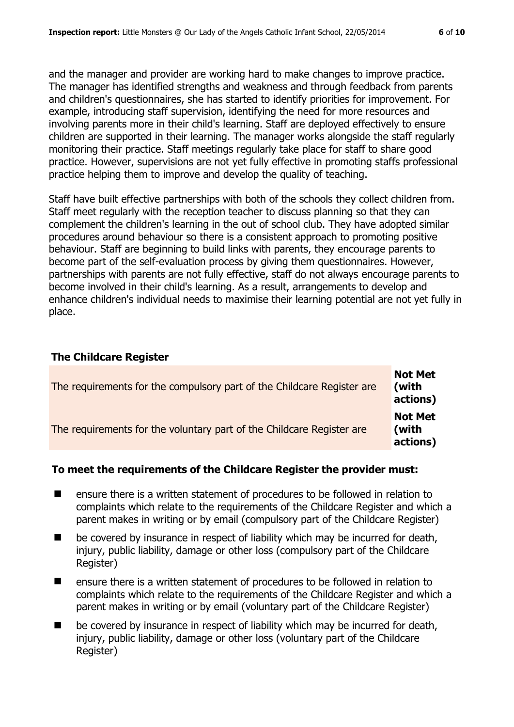and the manager and provider are working hard to make changes to improve practice. The manager has identified strengths and weakness and through feedback from parents and children's questionnaires, she has started to identify priorities for improvement. For example, introducing staff supervision, identifying the need for more resources and involving parents more in their child's learning. Staff are deployed effectively to ensure children are supported in their learning. The manager works alongside the staff regularly monitoring their practice. Staff meetings regularly take place for staff to share good practice. However, supervisions are not yet fully effective in promoting staffs professional practice helping them to improve and develop the quality of teaching.

Staff have built effective partnerships with both of the schools they collect children from. Staff meet regularly with the reception teacher to discuss planning so that they can complement the children's learning in the out of school club. They have adopted similar procedures around behaviour so there is a consistent approach to promoting positive behaviour. Staff are beginning to build links with parents, they encourage parents to become part of the self-evaluation process by giving them questionnaires. However, partnerships with parents are not fully effective, staff do not always encourage parents to become involved in their child's learning. As a result, arrangements to develop and enhance children's individual needs to maximise their learning potential are not yet fully in place.

#### **The Childcare Register**

| The requirements for the compulsory part of the Childcare Register are | <b>Not Met</b><br>(with<br>actions) |
|------------------------------------------------------------------------|-------------------------------------|
| The requirements for the voluntary part of the Childcare Register are  | <b>Not Met</b><br>(with<br>actions) |

#### **To meet the requirements of the Childcare Register the provider must:**

- ensure there is a written statement of procedures to be followed in relation to complaints which relate to the requirements of the Childcare Register and which a parent makes in writing or by email (compulsory part of the Childcare Register)
- $\blacksquare$  be covered by insurance in respect of liability which may be incurred for death, injury, public liability, damage or other loss (compulsory part of the Childcare Register)
- ensure there is a written statement of procedures to be followed in relation to complaints which relate to the requirements of the Childcare Register and which a parent makes in writing or by email (voluntary part of the Childcare Register)
- $\blacksquare$  be covered by insurance in respect of liability which may be incurred for death, injury, public liability, damage or other loss (voluntary part of the Childcare Register)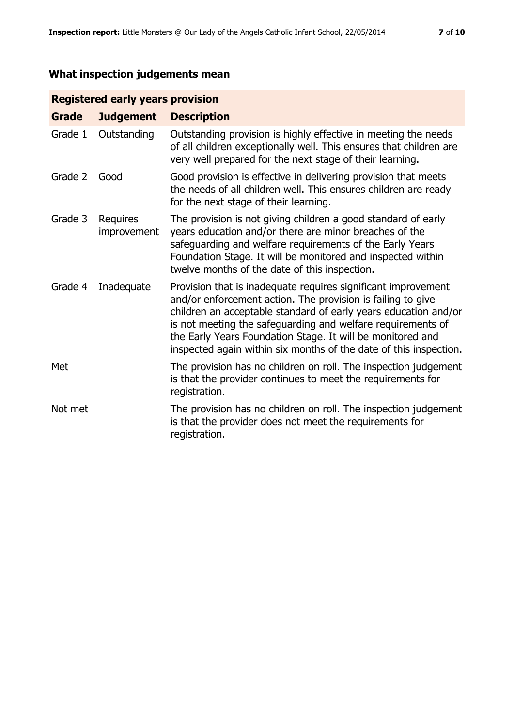# **What inspection judgements mean**

## **Registered early years provision**

| <b>Grade</b> | <b>Judgement</b>        | <b>Description</b>                                                                                                                                                                                                                                                                                                                                                                                |
|--------------|-------------------------|---------------------------------------------------------------------------------------------------------------------------------------------------------------------------------------------------------------------------------------------------------------------------------------------------------------------------------------------------------------------------------------------------|
| Grade 1      | Outstanding             | Outstanding provision is highly effective in meeting the needs<br>of all children exceptionally well. This ensures that children are<br>very well prepared for the next stage of their learning.                                                                                                                                                                                                  |
| Grade 2      | Good                    | Good provision is effective in delivering provision that meets<br>the needs of all children well. This ensures children are ready<br>for the next stage of their learning.                                                                                                                                                                                                                        |
| Grade 3      | Requires<br>improvement | The provision is not giving children a good standard of early<br>years education and/or there are minor breaches of the<br>safeguarding and welfare requirements of the Early Years<br>Foundation Stage. It will be monitored and inspected within<br>twelve months of the date of this inspection.                                                                                               |
| Grade 4      | Inadequate              | Provision that is inadequate requires significant improvement<br>and/or enforcement action. The provision is failing to give<br>children an acceptable standard of early years education and/or<br>is not meeting the safeguarding and welfare requirements of<br>the Early Years Foundation Stage. It will be monitored and<br>inspected again within six months of the date of this inspection. |
| Met          |                         | The provision has no children on roll. The inspection judgement<br>is that the provider continues to meet the requirements for<br>registration.                                                                                                                                                                                                                                                   |
| Not met      |                         | The provision has no children on roll. The inspection judgement<br>is that the provider does not meet the requirements for<br>registration.                                                                                                                                                                                                                                                       |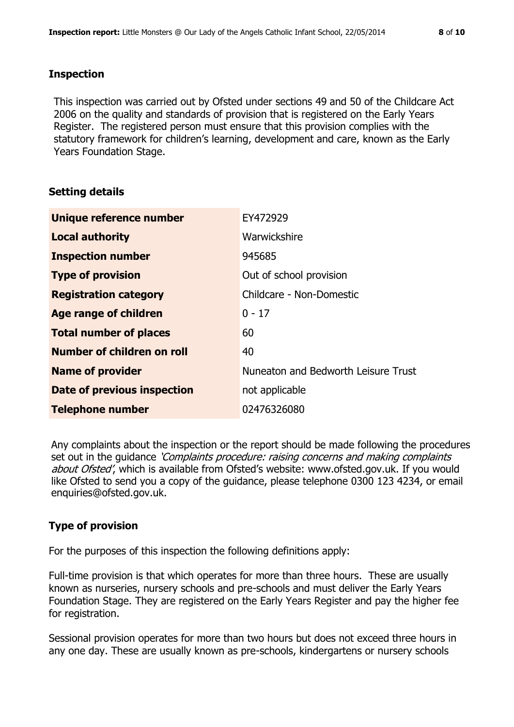#### **Inspection**

This inspection was carried out by Ofsted under sections 49 and 50 of the Childcare Act 2006 on the quality and standards of provision that is registered on the Early Years Register. The registered person must ensure that this provision complies with the statutory framework for children's learning, development and care, known as the Early Years Foundation Stage.

#### **Setting details**

| Unique reference number       | EY472929                            |
|-------------------------------|-------------------------------------|
| <b>Local authority</b>        | Warwickshire                        |
| <b>Inspection number</b>      | 945685                              |
| <b>Type of provision</b>      | Out of school provision             |
| <b>Registration category</b>  | Childcare - Non-Domestic            |
| Age range of children         | $0 - 17$                            |
| <b>Total number of places</b> | 60                                  |
| Number of children on roll    | 40                                  |
| <b>Name of provider</b>       | Nuneaton and Bedworth Leisure Trust |
| Date of previous inspection   | not applicable                      |
| <b>Telephone number</b>       | 02476326080                         |

Any complaints about the inspection or the report should be made following the procedures set out in the guidance *'Complaints procedure: raising concerns and making complaints* about Ofsted', which is available from Ofsted's website: www.ofsted.gov.uk. If you would like Ofsted to send you a copy of the guidance, please telephone 0300 123 4234, or email enquiries@ofsted.gov.uk.

### **Type of provision**

For the purposes of this inspection the following definitions apply:

Full-time provision is that which operates for more than three hours. These are usually known as nurseries, nursery schools and pre-schools and must deliver the Early Years Foundation Stage. They are registered on the Early Years Register and pay the higher fee for registration.

Sessional provision operates for more than two hours but does not exceed three hours in any one day. These are usually known as pre-schools, kindergartens or nursery schools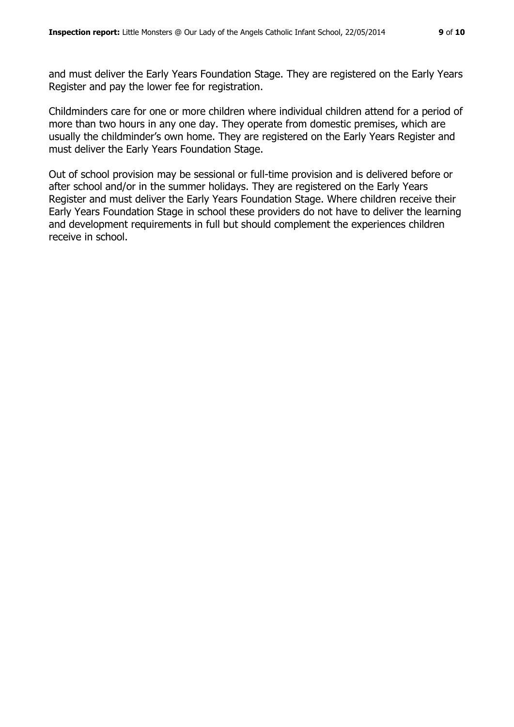and must deliver the Early Years Foundation Stage. They are registered on the Early Years Register and pay the lower fee for registration.

Childminders care for one or more children where individual children attend for a period of more than two hours in any one day. They operate from domestic premises, which are usually the childminder's own home. They are registered on the Early Years Register and must deliver the Early Years Foundation Stage.

Out of school provision may be sessional or full-time provision and is delivered before or after school and/or in the summer holidays. They are registered on the Early Years Register and must deliver the Early Years Foundation Stage. Where children receive their Early Years Foundation Stage in school these providers do not have to deliver the learning and development requirements in full but should complement the experiences children receive in school.